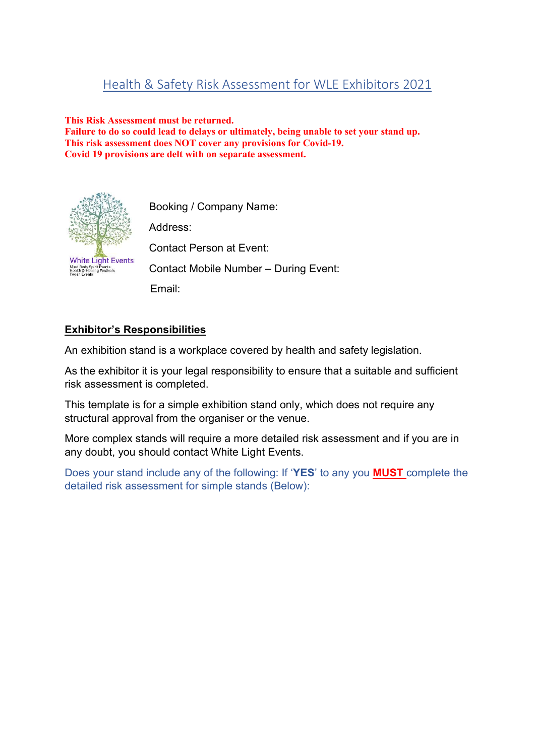## Health & Safety Risk Assessment for WLE Exhibitors 2021

#### This Risk Assessment must be returned.

Failure to do so could lead to delays or ultimately, being unable to set your stand up. This risk assessment does NOT cover any provisions for Covid-19. Covid 19 provisions are delt with on separate assessment.



Booking / Company Name: Address: Contact Person at Event: Contact Mobile Number – During Event: Email:

#### Exhibitor's Responsibilities

An exhibition stand is a workplace covered by health and safety legislation.

As the exhibitor it is your legal responsibility to ensure that a suitable and sufficient risk assessment is completed.

This template is for a simple exhibition stand only, which does not require any structural approval from the organiser or the venue.

More complex stands will require a more detailed risk assessment and if you are in any doubt, you should contact White Light Events.

Does your stand include any of the following: If 'YES' to any you MUST complete the detailed risk assessment for simple stands (Below):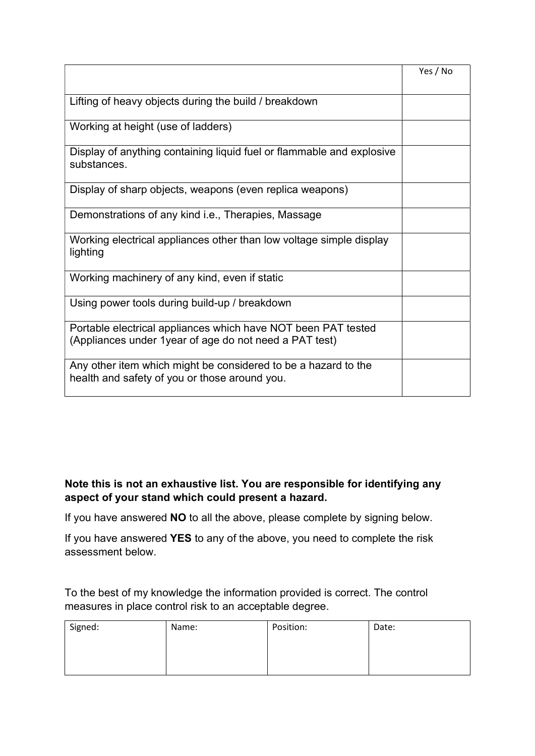|                                                                                                                          | Yes / No |
|--------------------------------------------------------------------------------------------------------------------------|----------|
| Lifting of heavy objects during the build / breakdown                                                                    |          |
| Working at height (use of ladders)                                                                                       |          |
| Display of anything containing liquid fuel or flammable and explosive<br>substances.                                     |          |
| Display of sharp objects, weapons (even replica weapons)                                                                 |          |
| Demonstrations of any kind i.e., Therapies, Massage                                                                      |          |
| Working electrical appliances other than low voltage simple display<br>lighting                                          |          |
| Working machinery of any kind, even if static                                                                            |          |
| Using power tools during build-up / breakdown                                                                            |          |
| Portable electrical appliances which have NOT been PAT tested<br>(Appliances under 1 year of age do not need a PAT test) |          |
| Any other item which might be considered to be a hazard to the<br>health and safety of you or those around you.          |          |

### Note this is not an exhaustive list. You are responsible for identifying any aspect of your stand which could present a hazard.

If you have answered NO to all the above, please complete by signing below.

If you have answered YES to any of the above, you need to complete the risk assessment below.

To the best of my knowledge the information provided is correct. The control measures in place control risk to an acceptable degree.

| Signed: | Name: | Position: | Date: |
|---------|-------|-----------|-------|
|         |       |           |       |
|         |       |           |       |
|         |       |           |       |